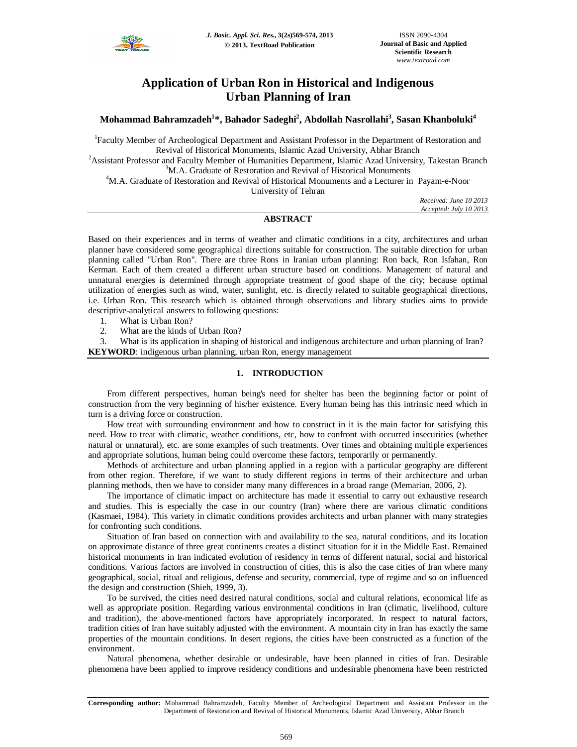

# **Application of Urban Ron in Historical and Indigenous Urban Planning of Iran**

**Mohammad Bahramzadeh<sup>1</sup> \*, Bahador Sadeghi<sup>2</sup> , Abdollah Nasrollahi<sup>3</sup> , Sasan Khanboluki<sup>4</sup>**

<sup>1</sup>Faculty Member of Archeological Department and Assistant Professor in the Department of Restoration and Revival of Historical Monuments, Islamic Azad University, Abhar Branch

<sup>2</sup>Assistant Professor and Faculty Member of Humanities Department, Islamic Azad University, Takestan Branch <sup>3</sup>M.A. Graduate of Restoration and Revival of Historical Monuments

<sup>4</sup>M.A. Graduate of Restoration and Revival of Historical Monuments and a Lecturer in Payam-e-Noor University of Tehran

> *Received: June 10 2013 Accepted: July 10 2013*

# **ABSTRACT**

Based on their experiences and in terms of weather and climatic conditions in a city, architectures and urban planner have considered some geographical directions suitable for construction. The suitable direction for urban planning called "Urban Ron". There are three Rons in Iranian urban planning: Ron back, Ron Isfahan, Ron Kerman. Each of them created a different urban structure based on conditions. Management of natural and unnatural energies is determined through appropriate treatment of good shape of the city; because optimal utilization of energies such as wind, water, sunlight, etc. is directly related to suitable geographical directions, i.e. Urban Ron. This research which is obtained through observations and library studies aims to provide descriptive-analytical answers to following questions:

1. What is Urban Ron?

2. What are the kinds of Urban Ron?

3. What is its application in shaping of historical and indigenous architecture and urban planning of Iran? **KEYWORD**: indigenous urban planning, urban Ron, energy management

# **1. INTRODUCTION**

From different perspectives, human being's need for shelter has been the beginning factor or point of construction from the very beginning of his/her existence. Every human being has this intrinsic need which in turn is a driving force or construction.

How treat with surrounding environment and how to construct in it is the main factor for satisfying this need. How to treat with climatic, weather conditions, etc, how to confront with occurred insecurities (whether natural or unnatural), etc. are some examples of such treatments. Over times and obtaining multiple experiences and appropriate solutions, human being could overcome these factors, temporarily or permanently.

Methods of architecture and urban planning applied in a region with a particular geography are different from other region. Therefore, if we want to study different regions in terms of their architecture and urban planning methods, then we have to consider many many differences in a broad range (Memarian, 2006, 2).

The importance of climatic impact on architecture has made it essential to carry out exhaustive research and studies. This is especially the case in our country (Iran) where there are various climatic conditions (Kasmaei, 1984). This variety in climatic conditions provides architects and urban planner with many strategies for confronting such conditions.

Situation of Iran based on connection with and availability to the sea, natural conditions, and its location on approximate distance of three great continents creates a distinct situation for it in the Middle East. Remained historical monuments in Iran indicated evolution of residency in terms of different natural, social and historical conditions. Various factors are involved in construction of cities, this is also the case cities of Iran where many geographical, social, ritual and religious, defense and security, commercial, type of regime and so on influenced the design and construction (Shieh, 1999, 3).

To be survived, the cities need desired natural conditions, social and cultural relations, economical life as well as appropriate position. Regarding various environmental conditions in Iran (climatic, livelihood, culture and tradition), the above-mentioned factors have appropriately incorporated. In respect to natural factors, tradition cities of Iran have suitably adjusted with the environment. A mountain city in Iran has exactly the same properties of the mountain conditions. In desert regions, the cities have been constructed as a function of the environment.

Natural phenomena, whether desirable or undesirable, have been planned in cities of Iran. Desirable phenomena have been applied to improve residency conditions and undesirable phenomena have been restricted

**Corresponding author:** Mohammad Bahramzadeh, Faculty Member of Archeological Department and Assistant Professor in the Department of Restoration and Revival of Historical Monuments, Islamic Azad University, Abhar Branch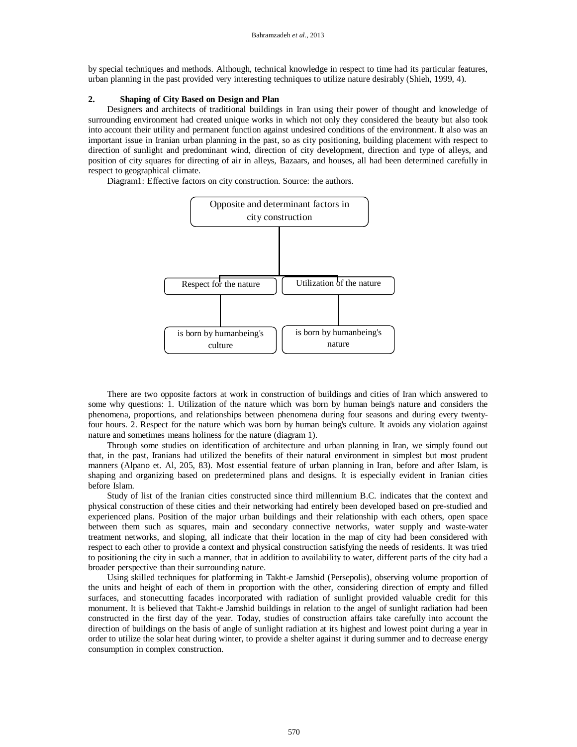by special techniques and methods. Although, technical knowledge in respect to time had its particular features, urban planning in the past provided very interesting techniques to utilize nature desirably (Shieh, 1999, 4).

# **2. Shaping of City Based on Design and Plan**

Designers and architects of traditional buildings in Iran using their power of thought and knowledge of surrounding environment had created unique works in which not only they considered the beauty but also took into account their utility and permanent function against undesired conditions of the environment. It also was an important issue in Iranian urban planning in the past, so as city positioning, building placement with respect to direction of sunlight and predominant wind, direction of city development, direction and type of alleys, and position of city squares for directing of air in alleys, Bazaars, and houses, all had been determined carefully in respect to geographical climate.

Diagram1: Effective factors on city construction. Source: the authors.



There are two opposite factors at work in construction of buildings and cities of Iran which answered to some why questions: 1. Utilization of the nature which was born by human being's nature and considers the phenomena, proportions, and relationships between phenomena during four seasons and during every twentyfour hours. 2. Respect for the nature which was born by human being's culture. It avoids any violation against nature and sometimes means holiness for the nature (diagram 1).

Through some studies on identification of architecture and urban planning in Iran, we simply found out that, in the past, Iranians had utilized the benefits of their natural environment in simplest but most prudent manners (Alpano et. Al, 205, 83). Most essential feature of urban planning in Iran, before and after Islam, is shaping and organizing based on predetermined plans and designs. It is especially evident in Iranian cities before Islam.

Study of list of the Iranian cities constructed since third millennium B.C. indicates that the context and physical construction of these cities and their networking had entirely been developed based on pre-studied and experienced plans. Position of the major urban buildings and their relationship with each others, open space between them such as squares, main and secondary connective networks, water supply and waste-water treatment networks, and sloping, all indicate that their location in the map of city had been considered with respect to each other to provide a context and physical construction satisfying the needs of residents. It was tried to positioning the city in such a manner, that in addition to availability to water, different parts of the city had a broader perspective than their surrounding nature.

Using skilled techniques for platforming in Takht-e Jamshid (Persepolis), observing volume proportion of the units and height of each of them in proportion with the other, considering direction of empty and filled surfaces, and stonecutting facades incorporated with radiation of sunlight provided valuable credit for this monument. It is believed that Takht-e Jamshid buildings in relation to the angel of sunlight radiation had been constructed in the first day of the year. Today, studies of construction affairs take carefully into account the direction of buildings on the basis of angle of sunlight radiation at its highest and lowest point during a year in order to utilize the solar heat during winter, to provide a shelter against it during summer and to decrease energy consumption in complex construction.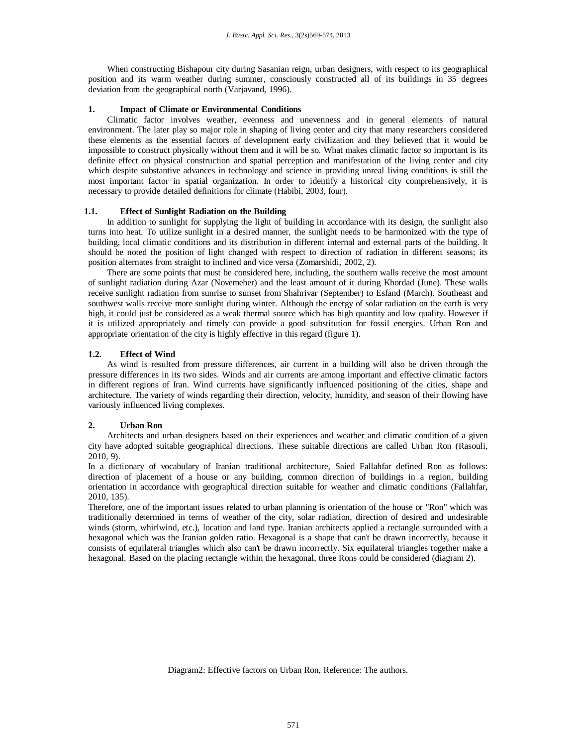When constructing Bishapour city during Sasanian reign, urban designers, with respect to its geographical position and its warm weather during summer, consciously constructed all of its buildings in 35 degrees deviation from the geographical north (Varjavand, 1996).

## **1. Impact of Climate or Environmental Conditions**

Climatic factor involves weather, evenness and unevenness and in general elements of natural environment. The later play so major role in shaping of living center and city that many researchers considered these elements as the essential factors of development early civilization and they believed that it would be impossible to construct physically without them and it will be so. What makes climatic factor so important is its definite effect on physical construction and spatial perception and manifestation of the living center and city which despite substantive advances in technology and science in providing unreal living conditions is still the most important factor in spatial organization. In order to identify a historical city comprehensively, it is necessary to provide detailed definitions for climate (Habibi, 2003, four).

#### **1.1. Effect of Sunlight Radiation on the Building**

In addition to sunlight for supplying the light of building in accordance with its design, the sunlight also turns into heat. To utilize sunlight in a desired manner, the sunlight needs to be harmonized with the type of building, local climatic conditions and its distribution in different internal and external parts of the building. It should be noted the position of light changed with respect to direction of radiation in different seasons; its position alternates from straight to inclined and vice versa (Zomarshidi, 2002, 2).

There are some points that must be considered here, including, the southern walls receive the most amount of sunlight radiation during Azar (Novemeber) and the least amount of it during Khordad (June). These walls receive sunlight radiation from sunrise to sunset from Shahrivar (September) to Esfand (March). Southeast and southwest walls receive more sunlight during winter. Although the energy of solar radiation on the earth is very high, it could just be considered as a weak thermal source which has high quantity and low quality. However if it is utilized appropriately and timely can provide a good substitution for fossil energies. Urban Ron and appropriate orientation of the city is highly effective in this regard (figure 1).

# **1.2. Effect of Wind**

As wind is resulted from pressure differences, air current in a building will also be driven through the pressure differences in its two sides. Winds and air currents are among important and effective climatic factors in different regions of Iran. Wind currents have significantly influenced positioning of the cities, shape and architecture. The variety of winds regarding their direction, velocity, humidity, and season of their flowing have variously influenced living complexes.

#### **2. Urban Ron**

Architects and urban designers based on their experiences and weather and climatic condition of a given city have adopted suitable geographical directions. These suitable directions are called Urban Ron (Rasouli, 2010, 9).

In a dictionary of vocabulary of Iranian traditional architecture, Saied Fallahfar defined Ron as follows: direction of placement of a house or any building, common direction of buildings in a region, building orientation in accordance with geographical direction suitable for weather and climatic conditions (Fallahfar, 2010, 135).

Therefore, one of the important issues related to urban planning is orientation of the house or "Ron" which was traditionally determined in terms of weather of the city, solar radiation, direction of desired and undesirable winds (storm, whirlwind, etc.), location and land type. Iranian architects applied a rectangle surrounded with a hexagonal which was the Iranian golden ratio. Hexagonal is a shape that can't be drawn incorrectly, because it consists of equilateral triangles which also can't be drawn incorrectly. Six equilateral triangles together make a hexagonal. Based on the placing rectangle within the hexagonal, three Rons could be considered (diagram 2).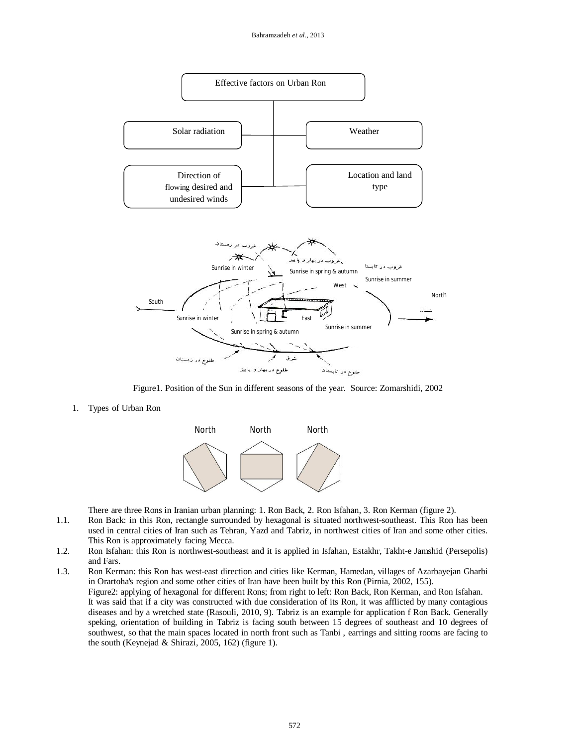

Figure1. Position of the Sun in different seasons of the year. Source: Zomarshidi, 2002

1. Types of Urban Ron



There are three Rons in Iranian urban planning: 1. Ron Back, 2. Ron Isfahan, 3. Ron Kerman (figure 2).

- 1.1. Ron Back: in this Ron, rectangle surrounded by hexagonal is situated northwest-southeast. This Ron has been used in central cities of Iran such as Tehran, Yazd and Tabriz, in northwest cities of Iran and some other cities. This Ron is approximately facing Mecca.
- 1.2. Ron Isfahan: this Ron is northwest-southeast and it is applied in Isfahan, Estakhr, Takht-e Jamshid (Persepolis) and Fars.
- 1.3. Ron Kerman: this Ron has west-east direction and cities like Kerman, Hamedan, villages of Azarbayejan Gharbi in Orartoha's region and some other cities of Iran have been built by this Ron (Pirnia, 2002, 155). Figure2: applying of hexagonal for different Rons; from right to left: Ron Back, Ron Kerman, and Ron Isfahan. It was said that if a city was constructed with due consideration of its Ron, it was afflicted by many contagious diseases and by a wretched state (Rasouli, 2010, 9). Tabriz is an example for application f Ron Back. Generally speking, orientation of building in Tabriz is facing south between 15 degrees of southeast and 10 degrees of southwest, so that the main spaces located in north front such as Tanbi , earrings and sitting rooms are facing to the south (Keynejad & Shirazi, 2005, 162) (figure 1).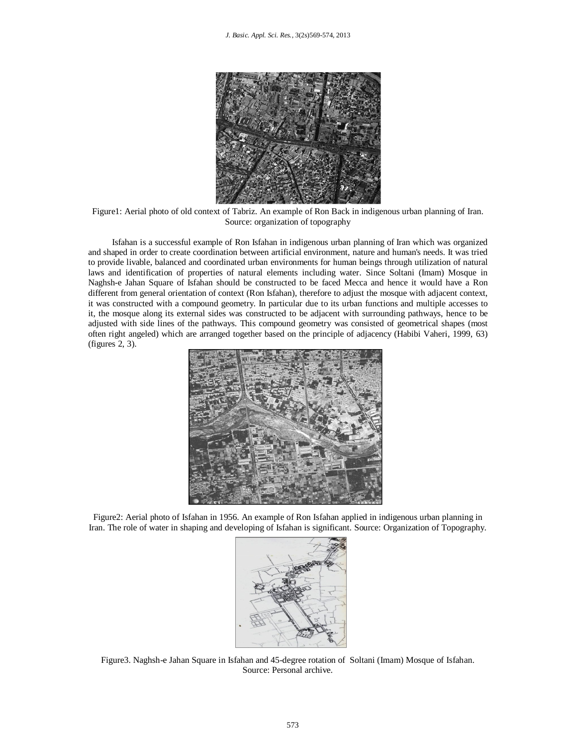

Figure1: Aerial photo of old context of Tabriz. An example of Ron Back in indigenous urban planning of Iran. Source: organization of topography

Isfahan is a successful example of Ron Isfahan in indigenous urban planning of Iran which was organized and shaped in order to create coordination between artificial environment, nature and human's needs. It was tried to provide livable, balanced and coordinated urban environments for human beings through utilization of natural laws and identification of properties of natural elements including water. Since Soltani (Imam) Mosque in Naghsh-e Jahan Square of Isfahan should be constructed to be faced Mecca and hence it would have a Ron different from general orientation of context (Ron Isfahan), therefore to adjust the mosque with adjacent context, it was constructed with a compound geometry. In particular due to its urban functions and multiple accesses to it, the mosque along its external sides was constructed to be adjacent with surrounding pathways, hence to be adjusted with side lines of the pathways. This compound geometry was consisted of geometrical shapes (most often right angeled) which are arranged together based on the principle of adjacency (Habibi Vaheri, 1999, 63) (figures 2, 3).



Figure2: Aerial photo of Isfahan in 1956. An example of Ron Isfahan applied in indigenous urban planning in Iran. The role of water in shaping and developing of Isfahan is significant. Source: Organization of Topography.



Figure3. Naghsh-e Jahan Square in Isfahan and 45-degree rotation of Soltani (Imam) Mosque of Isfahan. Source: Personal archive.